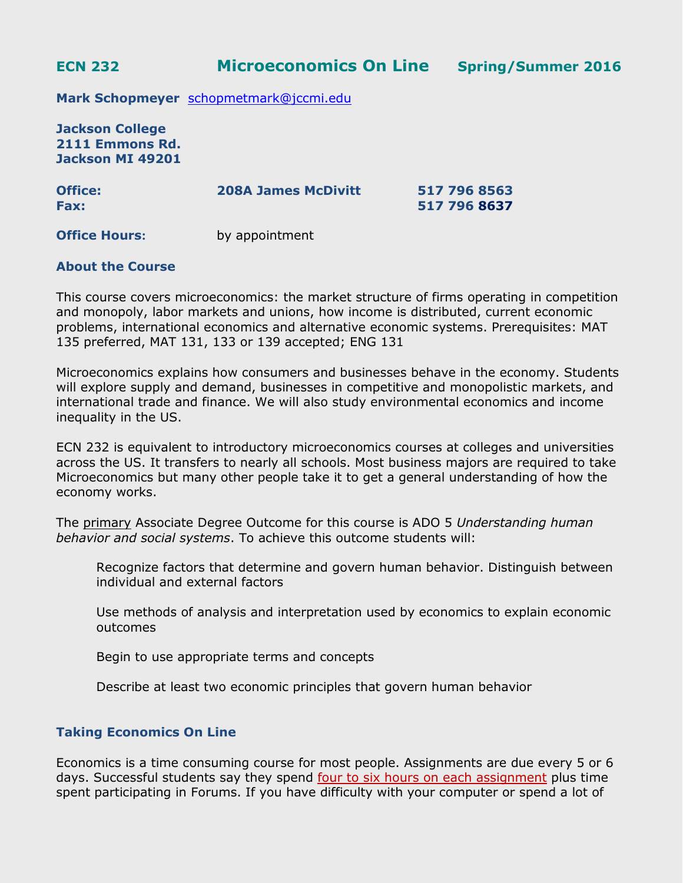**ECN 232 Microeconomics On Line Spring/Summer 2016**

**Mark Schopmeyer** [schopmetmark@jccmi.edu](mailto:schopmetmark@jccmi.edu)

**Jackson College 2111 Emmons Rd. Jackson MI 49201**

| <b>Office:</b><br><b>Fax:</b> | <b>208A James McDivitt</b> | 517 796 8563<br>517 796 8637 |
|-------------------------------|----------------------------|------------------------------|
|                               |                            |                              |

**Office Hours:** by appointment

### **About the Course**

This course covers microeconomics: the market structure of firms operating in competition and monopoly, labor markets and unions, how income is distributed, current economic problems, international economics and alternative economic systems. Prerequisites: MAT 135 preferred, MAT 131, 133 or 139 accepted; ENG 131

Microeconomics explains how consumers and businesses behave in the economy. Students will explore supply and demand, businesses in competitive and monopolistic markets, and international trade and finance. We will also study environmental economics and income inequality in the US.

ECN 232 is equivalent to introductory microeconomics courses at colleges and universities across the US. It transfers to nearly all schools. Most business majors are required to take Microeconomics but many other people take it to get a general understanding of how the economy works.

The primary Associate Degree Outcome for this course is ADO 5 *Understanding human behavior and social systems*. To achieve this outcome students will:

Recognize factors that determine and govern human behavior. Distinguish between individual and external factors

Use methods of analysis and interpretation used by economics to explain economic outcomes

Begin to use appropriate terms and concepts

Describe at least two economic principles that govern human behavior

### **Taking Economics On Line**

Economics is a time consuming course for most people. Assignments are due every 5 or 6 days. Successful students say they spend four to six hours on each assignment plus time spent participating in Forums. If you have difficulty with your computer or spend a lot of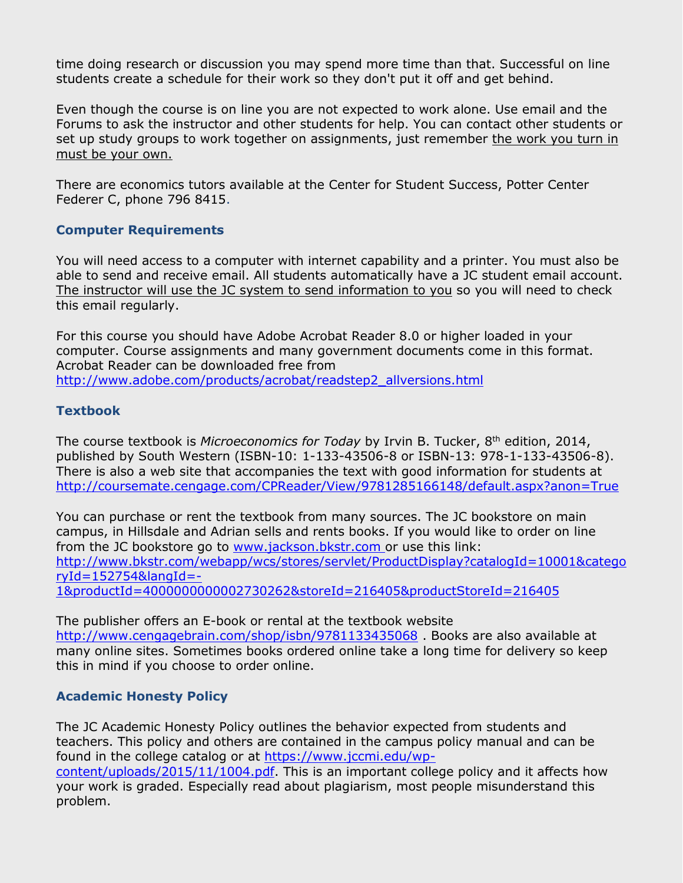time doing research or discussion you may spend more time than that. Successful on line students create a schedule for their work so they don't put it off and get behind.

Even though the course is on line you are not expected to work alone. Use email and the Forums to ask the instructor and other students for help. You can contact other students or set up study groups to work together on assignments, just remember the work you turn in must be your own.

There are economics tutors available at the Center for Student Success, Potter Center Federer C, phone 796 8415.

## **Computer Requirements**

You will need access to a computer with internet capability and a printer. You must also be able to send and receive email. All students automatically have a JC student email account. The instructor will use the JC system to send information to you so you will need to check this email regularly.

For this course you should have Adobe Acrobat Reader 8.0 or higher loaded in your computer. Course assignments and many government documents come in this format. Acrobat Reader can be downloaded free from [http://www.adobe.com/products/acrobat/readstep2\\_allversions.html](http://www.adobe.com/products/acrobat/readstep2_allversions.html)

# **Textbook**

The course textbook is *Microeconomics for Today* by Irvin B. Tucker, 8<sup>th</sup> edition, 2014, published by South Western (ISBN-10: 1-133-43506-8 or ISBN-13: 978-1-133-43506-8). There is also a web site that accompanies the text with good information for students at <http://coursemate.cengage.com/CPReader/View/9781285166148/default.aspx?anon=True>

You can purchase or rent the textbook from many sources. The JC bookstore on main campus, in Hillsdale and Adrian sells and rents books. If you would like to order on line from the JC bookstore go to [www.jackson.bkstr.com](http://www.jackson.bkstr.com/) or use this link: [http://www.bkstr.com/webapp/wcs/stores/servlet/ProductDisplay?catalogId=10001&catego](http://www.bkstr.com/webapp/wcs/stores/servlet/ProductDisplay?catalogId=10001&categoryId=152754&langId=-1&productId=4000000000002730262&storeId=216405&productStoreId=216405) [ryId=152754&langId=-](http://www.bkstr.com/webapp/wcs/stores/servlet/ProductDisplay?catalogId=10001&categoryId=152754&langId=-1&productId=4000000000002730262&storeId=216405&productStoreId=216405) [1&productId=4000000000002730262&storeId=216405&productStoreId=216405](http://www.bkstr.com/webapp/wcs/stores/servlet/ProductDisplay?catalogId=10001&categoryId=152754&langId=-1&productId=4000000000002730262&storeId=216405&productStoreId=216405)

The publisher offers an E-book or rental at the textbook website <http://www.cengagebrain.com/shop/isbn/9781133435068> . Books are also available at many online sites. Sometimes books ordered online take a long time for delivery so keep this in mind if you choose to order online.

# **Academic Honesty Policy**

The JC Academic Honesty Policy outlines the behavior expected from students and teachers. This policy and others are contained in the campus policy manual and can be found in the college catalog or at [https://www.jccmi.edu/wp-](https://www.jccmi.edu/wp-content/uploads/2015/11/1004.pdf)

[content/uploads/2015/11/1004.pdf.](https://www.jccmi.edu/wp-content/uploads/2015/11/1004.pdf) This is an important college policy and it affects how your work is graded. Especially read about plagiarism, most people misunderstand this problem.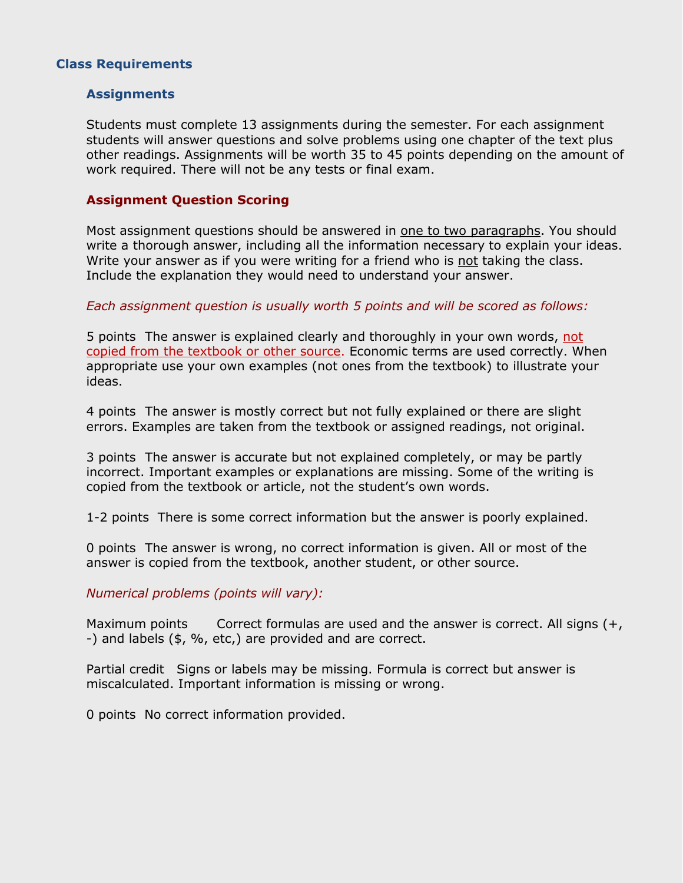## **Class Requirements**

#### **Assignments**

Students must complete 13 assignments during the semester. For each assignment students will answer questions and solve problems using one chapter of the text plus other readings. Assignments will be worth 35 to 45 points depending on the amount of work required. There will not be any tests or final exam.

#### **Assignment Question Scoring**

Most assignment questions should be answered in one to two paragraphs. You should write a thorough answer, including all the information necessary to explain your ideas. Write your answer as if you were writing for a friend who is not taking the class. Include the explanation they would need to understand your answer.

#### *Each assignment question is usually worth 5 points and will be scored as follows:*

5 points The answer is explained clearly and thoroughly in your own words, not copied from the textbook or other source. Economic terms are used correctly. When appropriate use your own examples (not ones from the textbook) to illustrate your ideas.

4 points The answer is mostly correct but not fully explained or there are slight errors. Examples are taken from the textbook or assigned readings, not original.

3 points The answer is accurate but not explained completely, or may be partly incorrect. Important examples or explanations are missing. Some of the writing is copied from the textbook or article, not the student's own words.

1-2 points There is some correct information but the answer is poorly explained.

0 points The answer is wrong, no correct information is given. All or most of the answer is copied from the textbook, another student, or other source.

### *Numerical problems (points will vary):*

Maximum points Correct formulas are used and the answer is correct. All signs  $(+,$ -) and labels (\$, %, etc,) are provided and are correct.

Partial credit Signs or labels may be missing. Formula is correct but answer is miscalculated. Important information is missing or wrong.

0 points No correct information provided.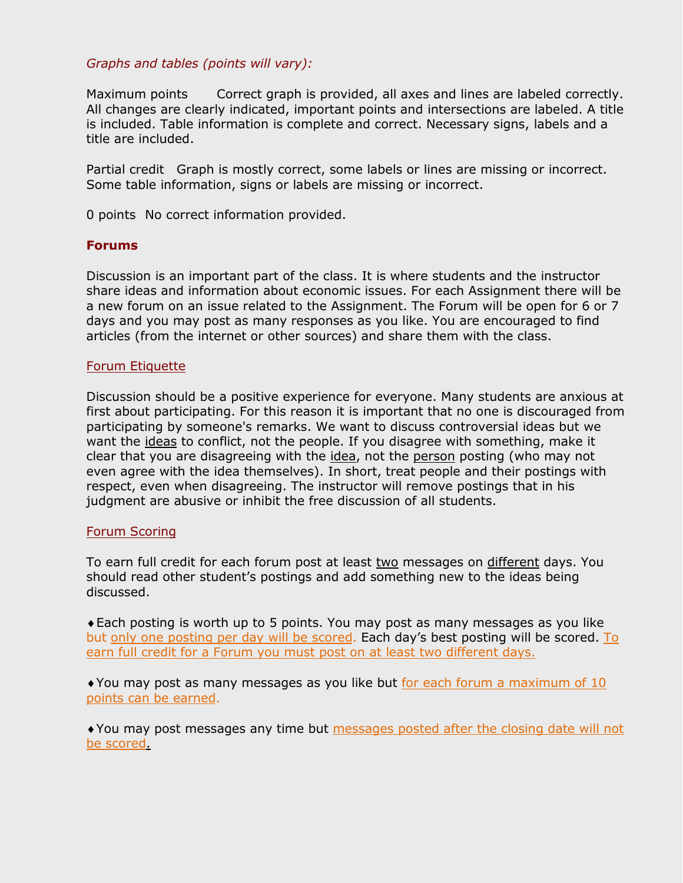### *Graphs and tables (points will vary):*

Maximum points Correct graph is provided, all axes and lines are labeled correctly. All changes are clearly indicated, important points and intersections are labeled. A title is included. Table information is complete and correct. Necessary signs, labels and a title are included.

Partial credit Graph is mostly correct, some labels or lines are missing or incorrect. Some table information, signs or labels are missing or incorrect.

0 points No correct information provided.

### **Forums**

Discussion is an important part of the class. It is where students and the instructor share ideas and information about economic issues. For each Assignment there will be a new forum on an issue related to the Assignment. The Forum will be open for 6 or 7 days and you may post as many responses as you like. You are encouraged to find articles (from the internet or other sources) and share them with the class.

#### Forum Etiquette

Discussion should be a positive experience for everyone. Many students are anxious at first about participating. For this reason it is important that no one is discouraged from participating by someone's remarks. We want to discuss controversial ideas but we want the ideas to conflict, not the people. If you disagree with something, make it clear that you are disagreeing with the idea, not the person posting (who may not even agree with the idea themselves). In short, treat people and their postings with respect, even when disagreeing. The instructor will remove postings that in his judgment are abusive or inhibit the free discussion of all students.

### Forum Scoring

To earn full credit for each forum post at least two messages on different days. You should read other student's postings and add something new to the ideas being discussed.

Each posting is worth up to 5 points. You may post as many messages as you like but only one posting per day will be scored. Each day's best posting will be scored. To earn full credit for a Forum you must post on at least two different days.

You may post as many messages as you like but for each forum a maximum of 10 points can be earned.

You may post messages any time but messages posted after the closing date will not be scored.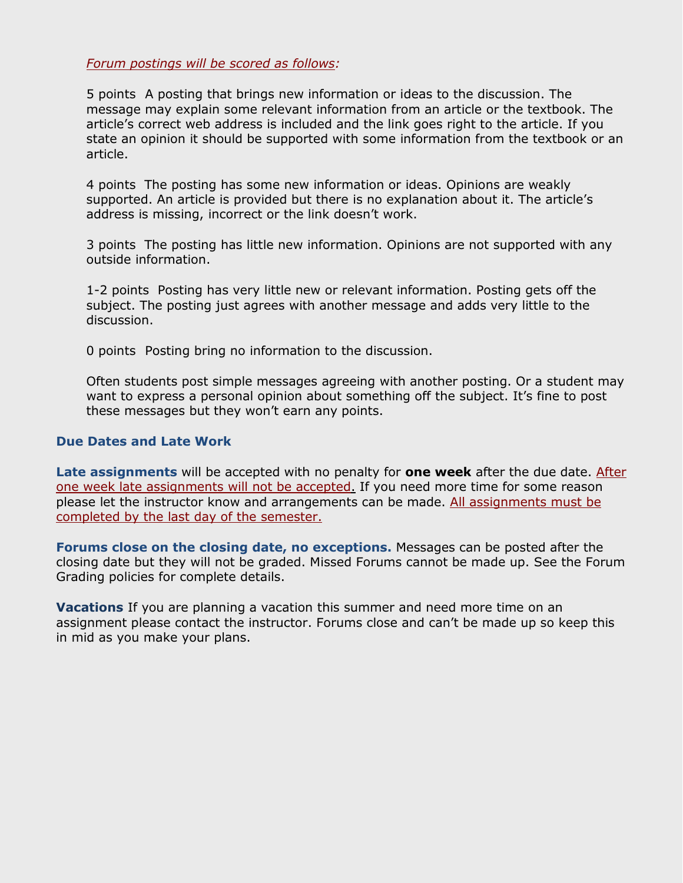*Forum postings will be scored as follows:*

5 points A posting that brings new information or ideas to the discussion. The message may explain some relevant information from an article or the textbook. The article's correct web address is included and the link goes right to the article. If you state an opinion it should be supported with some information from the textbook or an article.

4 points The posting has some new information or ideas. Opinions are weakly supported. An article is provided but there is no explanation about it. The article's address is missing, incorrect or the link doesn't work.

3 points The posting has little new information. Opinions are not supported with any outside information.

1-2 points Posting has very little new or relevant information. Posting gets off the subject. The posting just agrees with another message and adds very little to the discussion.

0 points Posting bring no information to the discussion.

Often students post simple messages agreeing with another posting. Or a student may want to express a personal opinion about something off the subject. It's fine to post these messages but they won't earn any points.

### **Due Dates and Late Work**

Late assignments will be accepted with no penalty for **one week** after the due date. After one week late assignments will not be accepted. If you need more time for some reason please let the instructor know and arrangements can be made. All assignments must be completed by the last day of the semester.

**Forums close on the closing date, no exceptions.** Messages can be posted after the closing date but they will not be graded. Missed Forums cannot be made up. See the Forum Grading policies for complete details.

**Vacations** If you are planning a vacation this summer and need more time on an assignment please contact the instructor. Forums close and can't be made up so keep this in mid as you make your plans.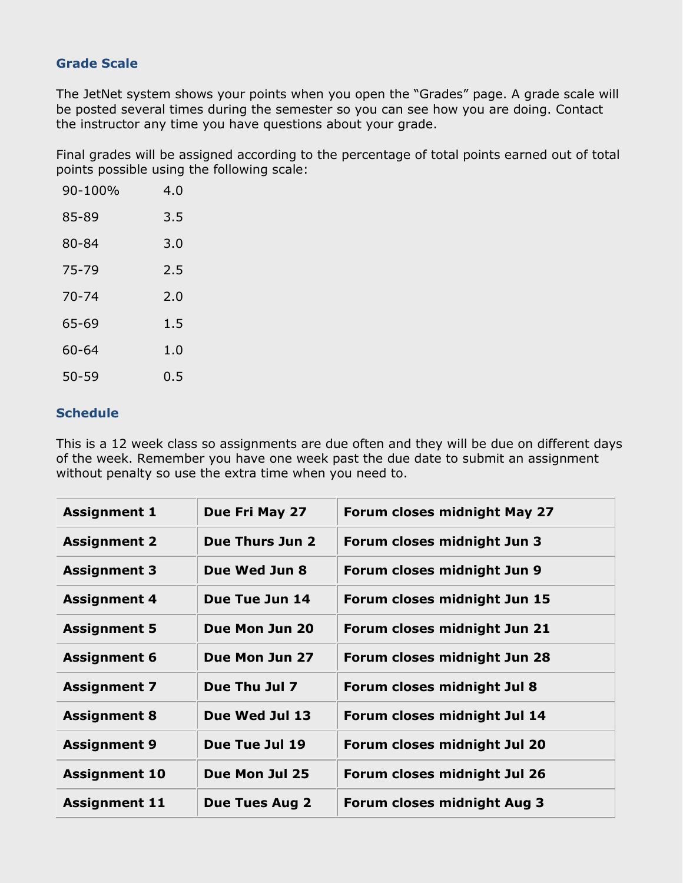# **Grade Scale**

The JetNet system shows your points when you open the "Grades" page. A grade scale will be posted several times during the semester so you can see how you are doing. Contact the instructor any time you have questions about your grade.

Final grades will be assigned according to the percentage of total points earned out of total points possible using the following scale:

| 90-100%   | 4.0 |
|-----------|-----|
| 85-89     | 3.5 |
| 80-84     | 3.0 |
| 75-79     | 2.5 |
| 70-74     | 2.0 |
| 65-69     | 1.5 |
| 60-64     | 1.0 |
| $50 - 59$ | 0.5 |

# **Schedule**

This is a 12 week class so assignments are due often and they will be due on different days of the week. Remember you have one week past the due date to submit an assignment without penalty so use the extra time when you need to.

| <b>Assignment 1</b>  | Due Fri May 27        | <b>Forum closes midnight May 27</b> |
|----------------------|-----------------------|-------------------------------------|
| <b>Assignment 2</b>  | Due Thurs Jun 2       | Forum closes midnight Jun 3         |
| <b>Assignment 3</b>  | Due Wed Jun 8         | Forum closes midnight Jun 9         |
| <b>Assignment 4</b>  | Due Tue Jun 14        | Forum closes midnight Jun 15        |
| <b>Assignment 5</b>  | Due Mon Jun 20        | Forum closes midnight Jun 21        |
| <b>Assignment 6</b>  | Due Mon Jun 27        | Forum closes midnight Jun 28        |
| <b>Assignment 7</b>  | Due Thu Jul 7         | Forum closes midnight Jul 8         |
| <b>Assignment 8</b>  | Due Wed Jul 13        | Forum closes midnight Jul 14        |
| <b>Assignment 9</b>  | Due Tue Jul 19        | Forum closes midnight Jul 20        |
| <b>Assignment 10</b> | Due Mon Jul 25        | Forum closes midnight Jul 26        |
| <b>Assignment 11</b> | <b>Due Tues Aug 2</b> | <b>Forum closes midnight Aug 3</b>  |